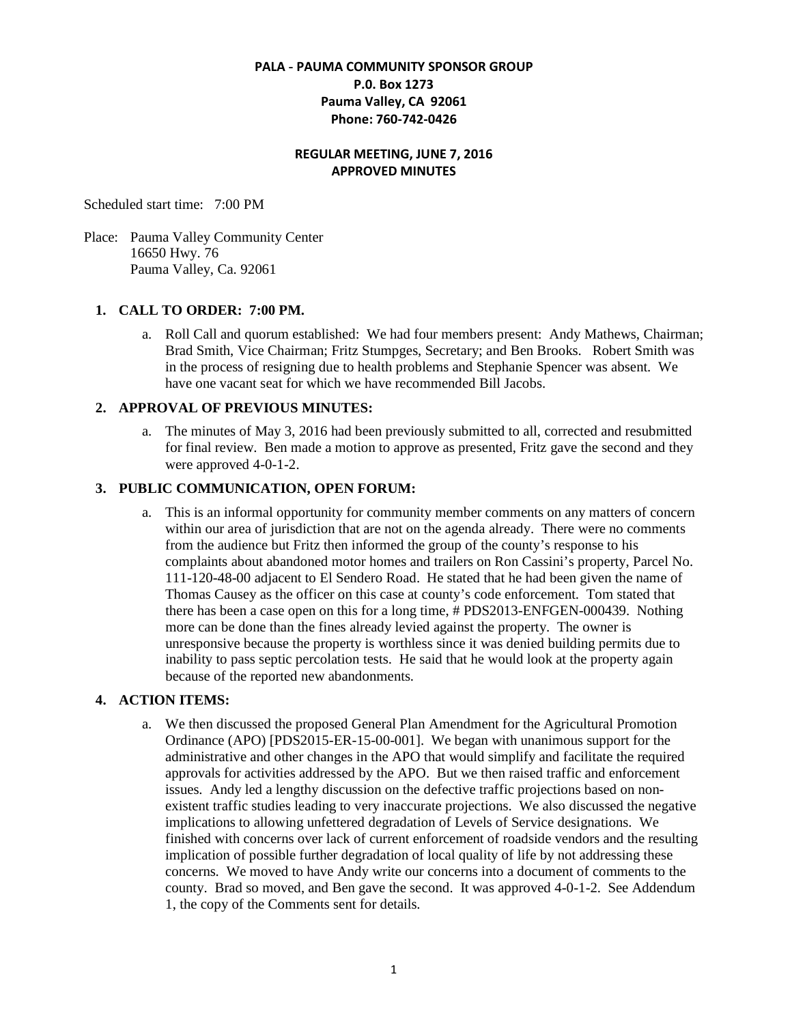## **PALA - PAUMA COMMUNITY SPONSOR GROUP P.0. Box 1273 Pauma Valley, CA 92061 Phone: 760-742-0426**

#### **REGULAR MEETING, JUNE 7, 2016 APPROVED MINUTES**

Scheduled start time: 7:00 PM

Place: Pauma Valley Community Center 16650 Hwy. 76 Pauma Valley, Ca. 92061

#### **1. CALL TO ORDER: 7:00 PM.**

a. Roll Call and quorum established: We had four members present: Andy Mathews, Chairman; Brad Smith, Vice Chairman; Fritz Stumpges, Secretary; and Ben Brooks. Robert Smith was in the process of resigning due to health problems and Stephanie Spencer was absent. We have one vacant seat for which we have recommended Bill Jacobs.

#### **2. APPROVAL OF PREVIOUS MINUTES:**

a. The minutes of May 3, 2016 had been previously submitted to all, corrected and resubmitted for final review. Ben made a motion to approve as presented, Fritz gave the second and they were approved 4-0-1-2.

### **3. PUBLIC COMMUNICATION, OPEN FORUM:**

a. This is an informal opportunity for community member comments on any matters of concern within our area of jurisdiction that are not on the agenda already. There were no comments from the audience but Fritz then informed the group of the county's response to his complaints about abandoned motor homes and trailers on Ron Cassini's property, Parcel No. 111-120-48-00 adjacent to El Sendero Road. He stated that he had been given the name of Thomas Causey as the officer on this case at county's code enforcement. Tom stated that there has been a case open on this for a long time, # PDS2013-ENFGEN-000439. Nothing more can be done than the fines already levied against the property. The owner is unresponsive because the property is worthless since it was denied building permits due to inability to pass septic percolation tests. He said that he would look at the property again because of the reported new abandonments.

## **4. ACTION ITEMS:**

a. We then discussed the proposed General Plan Amendment for the Agricultural Promotion Ordinance (APO) [PDS2015-ER-15-00-001]. We began with unanimous support for the administrative and other changes in the APO that would simplify and facilitate the required approvals for activities addressed by the APO. But we then raised traffic and enforcement issues. Andy led a lengthy discussion on the defective traffic projections based on nonexistent traffic studies leading to very inaccurate projections. We also discussed the negative implications to allowing unfettered degradation of Levels of Service designations. We finished with concerns over lack of current enforcement of roadside vendors and the resulting implication of possible further degradation of local quality of life by not addressing these concerns. We moved to have Andy write our concerns into a document of comments to the county. Brad so moved, and Ben gave the second. It was approved 4-0-1-2. See Addendum 1, the copy of the Comments sent for details.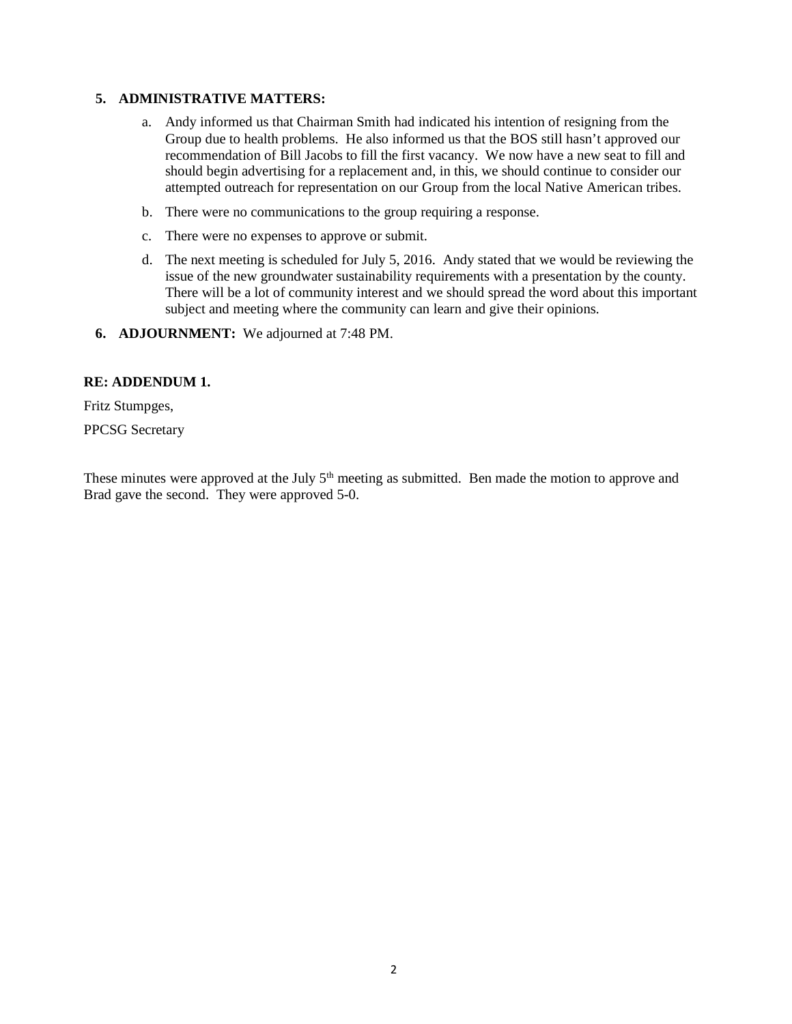#### **5. ADMINISTRATIVE MATTERS:**

- a. Andy informed us that Chairman Smith had indicated his intention of resigning from the Group due to health problems. He also informed us that the BOS still hasn't approved our recommendation of Bill Jacobs to fill the first vacancy. We now have a new seat to fill and should begin advertising for a replacement and, in this, we should continue to consider our attempted outreach for representation on our Group from the local Native American tribes.
- b. There were no communications to the group requiring a response.
- c. There were no expenses to approve or submit.
- d. The next meeting is scheduled for July 5, 2016. Andy stated that we would be reviewing the issue of the new groundwater sustainability requirements with a presentation by the county. There will be a lot of community interest and we should spread the word about this important subject and meeting where the community can learn and give their opinions.
- **6. ADJOURNMENT:** We adjourned at 7:48 PM.

#### **RE: ADDENDUM 1.**

Fritz Stumpges,

PPCSG Secretary

These minutes were approved at the July  $5<sup>th</sup>$  meeting as submitted. Ben made the motion to approve and Brad gave the second. They were approved 5-0.